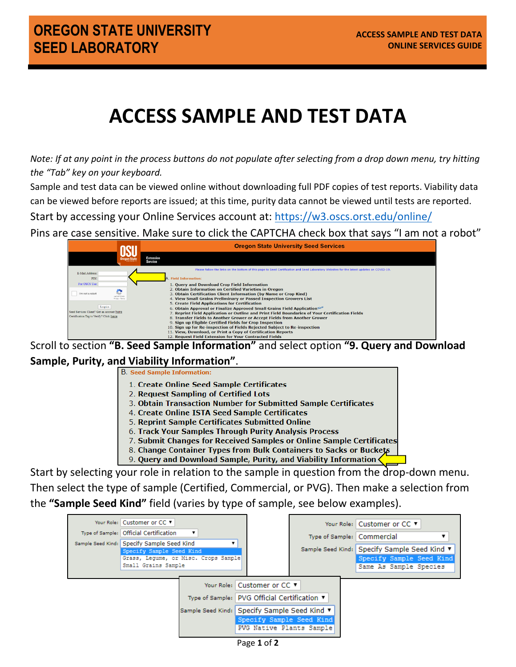## **ACCESS SAMPLE AND TEST DATA**

*Note: If at any point in the process buttons do not populate after selecting from a drop down menu, try hitting the "Tab" key on your keyboard.*

Sample and test data can be viewed online without downloading full PDF copies of test reports. Viability data can be viewed before reports are issued; at this time, purity data cannot be viewed until tests are reported.

Start by accessing your Online Services account at:<https://w3.oscs.orst.edu/online/>

Pins are case sensitive. Make sure to click the CAPTCHA check box that says "I am not a robot"

|                                                                                               | <b>Oregon State University Seed Services</b>                                                                                                                                                                                                                                                                 |
|-----------------------------------------------------------------------------------------------|--------------------------------------------------------------------------------------------------------------------------------------------------------------------------------------------------------------------------------------------------------------------------------------------------------------|
| Dregon Stat <mark>ı</mark>                                                                    | <b>Extension</b><br><b>Service</b>                                                                                                                                                                                                                                                                           |
| E-Mail Address:<br>PIN                                                                        | Please follow the links on the bottom of this page to Seed Certification and Seed Laboratory Websites for the latest updates on COVID-19.<br><b>Field Information:</b>                                                                                                                                       |
| For OSCS Use:<br>×<br>I'm not a robot<br>CAPTCHA<br><b>Friunty - Terros</b>                   | 1. Ouery and Download Crop Field Information<br>2. Obtain Information on Certified Varieties in Oregon<br>3. Obtain Certification Client Information (by Name or Crop Kind)<br>4. View Small Grains Preliminary or Passed Inspection Growers List                                                            |
| Login<br>Seed Services Client? Get an account here<br>Certification Tag to Verify? Click here | 5. Create Field Applications for Certification<br>6. Obtain Approval or Finalize Approved Small Grains Field Application New<br>7. Reprint Field Application or Outline and Print Field Boundaries of Your Certification Fields<br>8. Transfer Fields to Another Grower or Accept Fields from Another Grower |
|                                                                                               | 9. Sign up Eligible Certified Fields for Crop Inspection<br>10. Sign up for Re-inspection of Fields Rejected Subject to Re-inspection<br>11. View, Download, or Print a Copy of Certification Reports<br>12. Request Field Extension for Your Contracted Fields                                              |

Scroll to section **"B. Seed Sample Information"** and select option **"9. Query and Download Sample, Purity, and Viability Information"**.

- 1. Create Online Seed Sample Certificates
- 2. Request Sampling of Certified Lots
- 3. Obtain Transaction Number for Submitted Sample Certificates
- 4. Create Online ISTA Seed Sample Certificates
- 5. Reprint Sample Certificates Submitted Online
- 6. Track Your Samples Through Purity Analysis Process
- 7. Submit Changes for Received Samples or Online Sample Certificates
- 8. Change Container Types from Bulk Containers to Sacks or Buckets
- 9. Query and Download Sample, Purity, and Viability Information

Start by selecting your role in relation to the sample in question from the drop-down menu. Then select the type of sample (Certified, Commercial, or PVG). Then make a selection from the **"Sample Seed Kind"** field (varies by type of sample, see below examples).

|                                              | Your Role: Customer or CC ▼                |                                              |                             | Your Role: Customer or CC ▼                  |
|----------------------------------------------|--------------------------------------------|----------------------------------------------|-----------------------------|----------------------------------------------|
|                                              | Type of Sample: Official Certification     |                                              |                             | Type of Sample:   Commercial                 |
|                                              | Sample Seed Kind: Specify Sample Seed Kind |                                              |                             |                                              |
|                                              | Specify Sample Seed Kind                   |                                              |                             | Sample Seed Kind: Specify Sample Seed Kind ▼ |
|                                              | Grass, Legume, or Misc. Crops Sample       |                                              |                             | Specify Sample Seed Kind                     |
|                                              | Small Grains Sample                        |                                              |                             | Same As Sample Species                       |
|                                              |                                            |                                              |                             |                                              |
|                                              |                                            |                                              | Your Role: Customer or CC ▼ |                                              |
|                                              |                                            | Type of Sample: PVG Official Certification ▼ |                             |                                              |
| Sample Seed Kind: Specify Sample Seed Kind ▼ |                                            |                                              |                             |                                              |
|                                              |                                            | Specify Sample Seed Kind                     |                             |                                              |
|                                              |                                            |                                              | PVG Native Plants Sample    |                                              |
|                                              |                                            |                                              |                             |                                              |

Page **1** of **2**